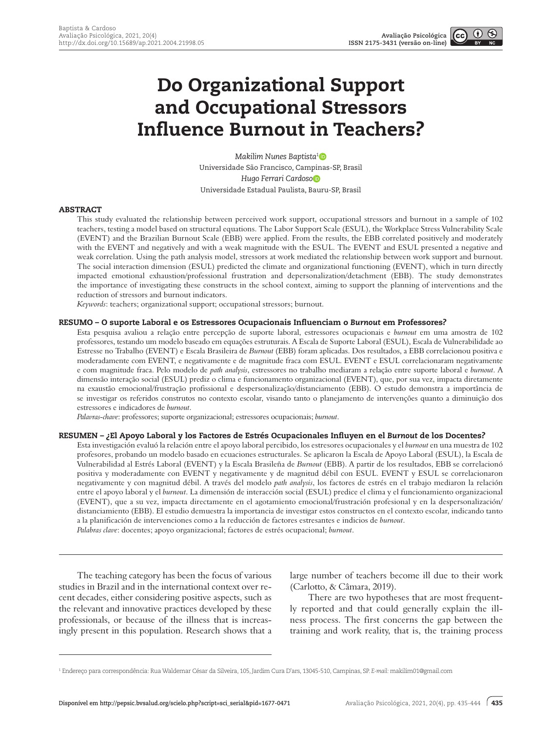$(1)$ 

# Do Organizational Support and Occupational Stressors Influence Burnout in Teachers?

*Makilim Nunes Baptista[1](https://orcid.org/0000-0001-6519-254X)* Universidade São Francisco, Campinas-SP, Brasil *Hugo Ferrari Cardos[o](https://orcid.org/0000-0003-1960-2936)* Universidade Estadual Paulista, Bauru-SP, Brasil

## ABSTRACT

This study evaluated the relationship between perceived work support, occupational stressors and burnout in a sample of 102 teachers, testing a model based on structural equations. The Labor Support Scale (ESUL), the Workplace Stress Vulnerability Scale (EVENT) and the Brazilian Burnout Scale (EBB) were applied. From the results, the EBB correlated positively and moderately with the EVENT and negatively and with a weak magnitude with the ESUL. The EVENT and ESUL presented a negative and weak correlation. Using the path analysis model, stressors at work mediated the relationship between work support and burnout. The social interaction dimension (ESUL) predicted the climate and organizational functioning (EVENT), which in turn directly impacted emotional exhaustion/professional frustration and depersonalization/detachment (EBB). The study demonstrates the importance of investigating these constructs in the school context, aiming to support the planning of interventions and the reduction of stressors and burnout indicators.

*Keywords*: teachers; organizational support; occupational stressors; burnout.

#### RESUMO – O suporte Laboral e os Estressores Ocupacionais Influenciam o *Burnout* em Professores?

Esta pesquisa avaliou a relação entre percepção de suporte laboral, estressores ocupacionais e *burnout* em uma amostra de 102 professores, testando um modelo baseado em equações estruturais. A Escala de Suporte Laboral (ESUL), Escala de Vulnerabilidade ao Estresse no Trabalho (EVENT) e Escala Brasileira de *Burnout* (EBB) foram aplicadas. Dos resultados, a EBB correlacionou positiva e moderadamente com EVENT, e negativamente e de magnitude fraca com ESUL. EVENT e ESUL correlacionaram negativamente e com magnitude fraca. Pelo modelo de *path analysis*, estressores no trabalho mediaram a relação entre suporte laboral e *burnout*. A dimensão interação social (ESUL) prediz o clima e funcionamento organizacional (EVENT), que, por sua vez, impacta diretamente na exaustão emocional/frustração profissional e despersonalização/distanciamento (EBB). O estudo demonstra a importância de se investigar os referidos construtos no contexto escolar, visando tanto o planejamento de intervenções quanto a diminuição dos estressores e indicadores de *burnout*.

*Palavras-chave*: professores; suporte organizacional; estressores ocupacionais; *burnout*.

#### RESUMEN – ¿El Apoyo Laboral y los Factores de Estrés Ocupacionales Influyen en el *Burnout* de los Docentes?

Esta investigación evaluó la relación entre el apoyo laboral percibido, los estresores ocupacionales y el *burnout* en una muestra de 102 profesores, probando un modelo basado en ecuaciones estructurales. Se aplicaron la Escala de Apoyo Laboral (ESUL), la Escala de Vulnerabilidad al Estrés Laboral (EVENT) y la Escala Brasileña de *Burnout* (EBB). A partir de los resultados, EBB se correlacionó positiva y moderadamente con EVENT y negativamente y de magnitud débil con ESUL. EVENT y ESUL se correlacionaron negativamente y con magnitud débil. A través del modelo *path analysis*, los factores de estrés en el trabajo mediaron la relación entre el apoyo laboral y el *burnout*. La dimensión de interacción social (ESUL) predice el clima y el funcionamiento organizacional (EVENT), que a su vez, impacta directamente en el agotamiento emocional/frustración profesional y en la despersonalización/ distanciamiento (EBB). El estudio demuestra la importancia de investigar estos constructos en el contexto escolar, indicando tanto a la planificación de intervenciones como a la reducción de factores estresantes e indicios de *burnout*. *Palabras clave*: docentes; apoyo organizacional; factores de estrés ocupacional; *burnout*.

The teaching category has been the focus of various studies in Brazil and in the international context over recent decades, either considering positive aspects, such as the relevant and innovative practices developed by these professionals, or because of the illness that is increasingly present in this population. Research shows that a

large number of teachers become ill due to their work (Carlotto, & Câmara, 2019).

There are two hypotheses that are most frequently reported and that could generally explain the illness process. The first concerns the gap between the training and work reality, that is, the training process

<sup>1</sup> Endereço para correspondência: Rua Waldemar César da Silveira, 105, Jardim Cura D'ars, 13045-510, Campinas, SP. *E-mail:* makilim01@gmail.com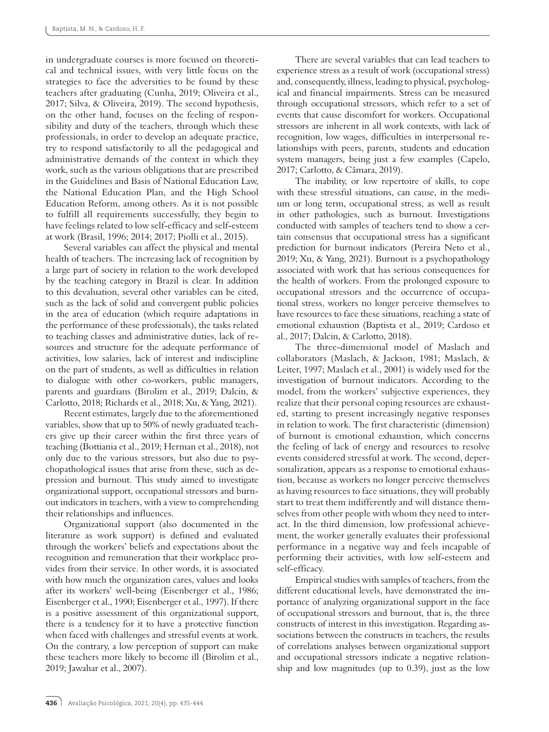in undergraduate courses is more focused on theoretical and technical issues, with very little focus on the strategies to face the adversities to be found by these teachers after graduating (Cunha, 2019; Oliveira et al., 2017; Silva, & Oliveira, 2019). The second hypothesis, on the other hand, focuses on the feeling of responsibility and duty of the teachers, through which these professionals, in order to develop an adequate practice, try to respond satisfactorily to all the pedagogical and administrative demands of the context in which they work, such as the various obligations that are prescribed in the Guidelines and Basis of National Education Law, the National Education Plan, and the High School Education Reform, among others. As it is not possible to fulfill all requirements successfully, they begin to have feelings related to low self-efficacy and self-esteem at work (Brasil, 1996; 2014; 2017; Piolli et al., 2015).

Several variables can affect the physical and mental health of teachers. The increasing lack of recognition by a large part of society in relation to the work developed by the teaching category in Brazil is clear. In addition to this devaluation, several other variables can be cited, such as the lack of solid and convergent public policies in the area of education (which require adaptations in the performance of these professionals), the tasks related to teaching classes and administrative duties, lack of resources and structure for the adequate performance of activities, low salaries, lack of interest and indiscipline on the part of students, as well as difficulties in relation to dialogue with other co-workers, public managers, parents and guardians (Birolim et al., 2019; Dalcin, & Carlotto, 2018; Richards et al., 2018; Xu, & Yang, 2021).

Recent estimates, largely due to the aforementioned variables, show that up to 50% of newly graduated teachers give up their career within the first three years of teaching (Bottiania et al., 2019; Herman et al., 2018), not only due to the various stressors, but also due to psychopathological issues that arise from these, such as depression and burnout. This study aimed to investigate organizational support, occupational stressors and burnout indicators in teachers, with a view to comprehending their relationships and influences.

Organizational support (also documented in the literature as work support) is defined and evaluated through the workers' beliefs and expectations about the recognition and remuneration that their workplace provides from their service. In other words, it is associated with how much the organization cares, values and looks after its workers' well-being (Eisenberger et al., 1986; Eisenberger et al., 1990; Eisenberger et al., 1997). If there is a positive assessment of this organizational support, there is a tendency for it to have a protective function when faced with challenges and stressful events at work. On the contrary, a low perception of support can make these teachers more likely to become ill (Birolim et al., 2019; Jawahar et al., 2007).

There are several variables that can lead teachers to experience stress as a result of work (occupational stress) and, consequently, illness, leading to physical, psychological and financial impairments. Stress can be measured through occupational stressors, which refer to a set of events that cause discomfort for workers. Occupational stressors are inherent in all work contexts, with lack of recognition, low wages, difficulties in interpersonal relationships with peers, parents, students and education system managers, being just a few examples (Capelo, 2017; Carlotto, & Câmara, 2019).

The inability, or low repertoire of skills, to cope with these stressful situations, can cause, in the medium or long term, occupational stress, as well as result in other pathologies, such as burnout. Investigations conducted with samples of teachers tend to show a certain consensus that occupational stress has a significant prediction for burnout indicators (Pereira Neto et al., 2019; Xu, & Yang, 2021). Burnout is a psychopathology associated with work that has serious consequences for the health of workers. From the prolonged exposure to occupational stressors and the occurrence of occupational stress, workers no longer perceive themselves to have resources to face these situations, reaching a state of emotional exhaustion (Baptista et al., 2019; Cardoso et al., 2017; Dalcin, & Carlotto, 2018).

The three-dimensional model of Maslach and collaborators (Maslach, & Jackson, 1981; Maslach, & Leiter, 1997; Maslach et al., 2001) is widely used for the investigation of burnout indicators. According to the model, from the workers' subjective experiences, they realize that their personal coping resources are exhausted, starting to present increasingly negative responses in relation to work. The first characteristic (dimension) of burnout is emotional exhaustion, which concerns the feeling of lack of energy and resources to resolve events considered stressful at work. The second, depersonalization, appears as a response to emotional exhaustion, because as workers no longer perceive themselves as having resources to face situations, they will probably start to treat them indifferently and will distance themselves from other people with whom they need to interact. In the third dimension, low professional achievement, the worker generally evaluates their professional performance in a negative way and feels incapable of performing their activities, with low self-esteem and self-efficacy.

Empirical studies with samples of teachers, from the different educational levels, have demonstrated the importance of analyzing organizational support in the face of occupational stressors and burnout, that is, the three constructs of interest in this investigation. Regarding associations between the constructs in teachers, the results of correlations analyses between organizational support and occupational stressors indicate a negative relationship and low magnitudes (up to 0.39), just as the low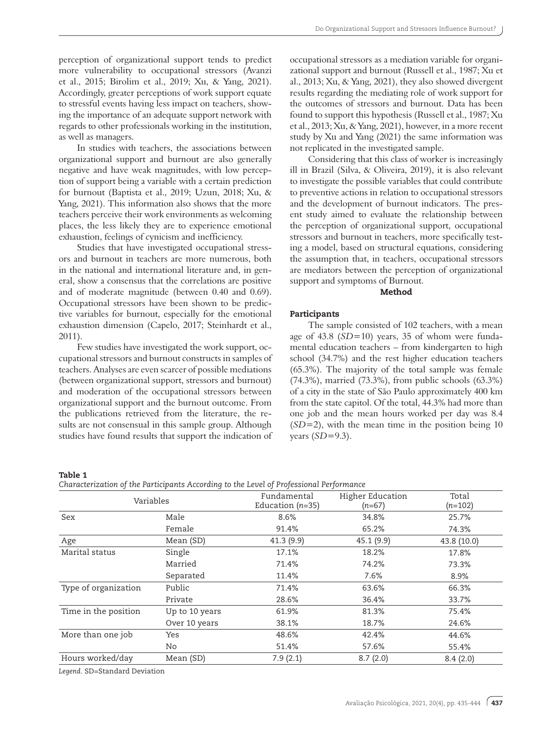perception of organizational support tends to predict more vulnerability to occupational stressors (Avanzi et al., 2015; Birolim et al., 2019; Xu, & Yang, 2021). Accordingly, greater perceptions of work support equate to stressful events having less impact on teachers, showing the importance of an adequate support network with regards to other professionals working in the institution, as well as managers.

In studies with teachers, the associations between organizational support and burnout are also generally negative and have weak magnitudes, with low perception of support being a variable with a certain prediction for burnout (Baptista et al., 2019; Uzun, 2018; Xu, & Yang, 2021). This information also shows that the more teachers perceive their work environments as welcoming places, the less likely they are to experience emotional exhaustion, feelings of cynicism and inefficiency.

Studies that have investigated occupational stressors and burnout in teachers are more numerous, both in the national and international literature and, in general, show a consensus that the correlations are positive and of moderate magnitude (between 0.40 and 0.69). Occupational stressors have been shown to be predictive variables for burnout, especially for the emotional exhaustion dimension (Capelo, 2017; Steinhardt et al., 2011).

Few studies have investigated the work support, occupational stressors and burnout constructs in samples of teachers. Analyses are even scarcer of possible mediations (between organizational support, stressors and burnout) and moderation of the occupational stressors between organizational support and the burnout outcome. From the publications retrieved from the literature, the results are not consensual in this sample group. Although studies have found results that support the indication of occupational stressors as a mediation variable for organizational support and burnout (Russell et al., 1987; Xu et al., 2013; Xu, & Yang, 2021), they also showed divergent results regarding the mediating role of work support for the outcomes of stressors and burnout. Data has been found to support this hypothesis (Russell et al., 1987; Xu et al., 2013; Xu, & Yang, 2021), however, in a more recent study by Xu and Yang (2021) the same information was not replicated in the investigated sample.

Considering that this class of worker is increasingly ill in Brazil (Silva, & Oliveira, 2019), it is also relevant to investigate the possible variables that could contribute to preventive actions in relation to occupational stressors and the development of burnout indicators. The present study aimed to evaluate the relationship between the perception of organizational support, occupational stressors and burnout in teachers, more specifically testing a model, based on structural equations, considering the assumption that, in teachers, occupational stressors are mediators between the perception of organizational support and symptoms of Burnout.

## Method

#### Participants

The sample consisted of 102 teachers, with a mean age of 43.8 (*SD*=10) years, 35 of whom were fundamental education teachers – from kindergarten to high school (34.7%) and the rest higher education teachers (65.3%). The majority of the total sample was female (74.3%), married (73.3%), from public schools (63.3%) of a city in the state of São Paulo approximately 400 km from the state capitol. Of the total, 44.3% had more than one job and the mean hours worked per day was 8.4 (*SD*=2), with the mean time in the position being 10 years (*SD*=9.3).

Table 1

| Characterization of the Participants Accordina to the Level of Professional Performance |  |  |  |
|-----------------------------------------------------------------------------------------|--|--|--|
|                                                                                         |  |  |  |

| Variables            |                | Fundamental<br>Education $(n=35)$ | Higher Education<br>$(n=67)$ | Total<br>$(n=102)$ |  |
|----------------------|----------------|-----------------------------------|------------------------------|--------------------|--|
| Sex                  | Male           | 8.6%                              | 34.8%                        | 25.7%              |  |
|                      | Female         | 91.4%                             | 65.2%                        | 74.3%              |  |
| Age                  | Mean (SD)      | 41.3 (9.9)                        | 45.1(9.9)                    | 43.8 (10.0)        |  |
| Marital status       | Single         | 17.1%                             | 18.2%                        | 17.8%              |  |
|                      | Married        | 71.4%                             | 74.2%                        | 73.3%              |  |
|                      | Separated      | 11.4%                             | 7.6%                         | 8.9%               |  |
| Type of organization | Public         | 71.4%                             | 63.6%                        | 66.3%              |  |
|                      | Private        | 28.6%                             | 36.4%                        | 33.7%              |  |
| Time in the position | Up to 10 years | 61.9%                             | 81.3%                        | 75.4%              |  |
|                      | Over 10 years  | 38.1%                             | 18.7%                        | 24.6%              |  |
| More than one job    | Yes            | 48.6%                             | 42.4%                        | 44.6%              |  |
|                      | No.            | 51.4%                             | 57.6%                        | 55.4%              |  |
| Hours worked/day     | Mean (SD)      | 7.9(2.1)                          | 8.7(2.0)                     | 8.4(2.0)           |  |

*Legend.* SD=Standard Deviation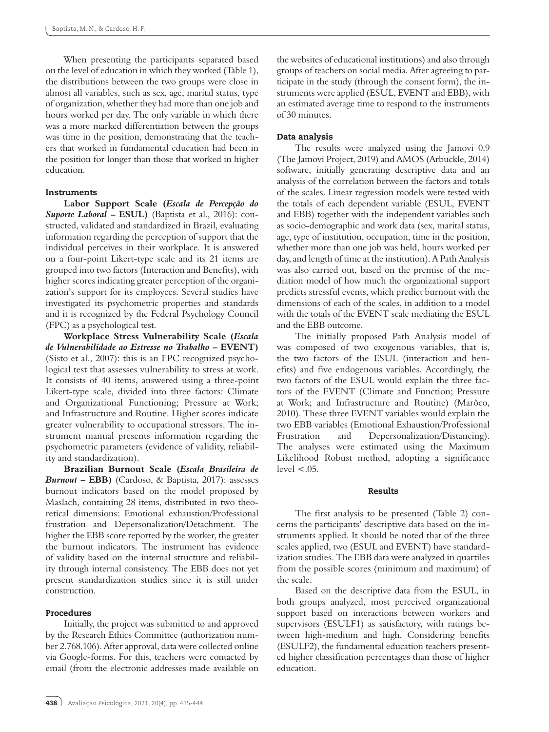When presenting the participants separated based on the level of education in which they worked (Table 1), the distributions between the two groups were close in almost all variables, such as sex, age, marital status, type of organization, whether they had more than one job and hours worked per day. The only variable in which there was a more marked differentiation between the groups was time in the position, demonstrating that the teachers that worked in fundamental education had been in the position for longer than those that worked in higher education.

# **Instruments**

**Labor Support Scale (***Escala de Percepção do Suporte Laboral* **– ESUL)** (Baptista et al., 2016): constructed, validated and standardized in Brazil, evaluating information regarding the perception of support that the individual perceives in their workplace. It is answered on a four-point Likert-type scale and its 21 items are grouped into two factors (Interaction and Benefits), with higher scores indicating greater perception of the organization's support for its employees. Several studies have investigated its psychometric properties and standards and it is recognized by the Federal Psychology Council (FPC) as a psychological test.

**Workplace Stress Vulnerability Scale (***Escala de Vulnerabilidade ao Estresse no Trabalho* **– EVENT)** (Sisto et al., 2007): this is an FPC recognized psychological test that assesses vulnerability to stress at work. It consists of 40 items, answered using a three-point Likert-type scale, divided into three factors: Climate and Organizational Functioning; Pressure at Work; and Infrastructure and Routine. Higher scores indicate greater vulnerability to occupational stressors. The instrument manual presents information regarding the psychometric parameters (evidence of validity, reliability and standardization).

**Brazilian Burnout Scale (***Escala Brasileira de Burnout* **– EBB)** (Cardoso, & Baptista, 2017): assesses burnout indicators based on the model proposed by Maslach, containing 28 items, distributed in two theoretical dimensions: Emotional exhaustion/Professional frustration and Depersonalization/Detachment. The higher the EBB score reported by the worker, the greater the burnout indicators. The instrument has evidence of validity based on the internal structure and reliability through internal consistency. The EBB does not yet present standardization studies since it is still under construction.

# Procedures

Initially, the project was submitted to and approved by the Research Ethics Committee (authorization number 2.768.106). After approval, data were collected online via Google-forms. For this, teachers were contacted by email (from the electronic addresses made available on

the websites of educational institutions) and also through groups of teachers on social media. After agreeing to participate in the study (through the consent form), the instruments were applied (ESUL, EVENT and EBB), with an estimated average time to respond to the instruments of 30 minutes.

## Data analysis

The results were analyzed using the Jamovi 0.9 (The Jamovi Project, 2019) and AMOS (Arbuckle, 2014) software, initially generating descriptive data and an analysis of the correlation between the factors and totals of the scales. Linear regression models were tested with the totals of each dependent variable (ESUL, EVENT and EBB) together with the independent variables such as socio-demographic and work data (sex, marital status, age, type of institution, occupation, time in the position, whether more than one job was held, hours worked per day, and length of time at the institution). A Path Analysis was also carried out, based on the premise of the mediation model of how much the organizational support predicts stressful events, which predict burnout with the dimensions of each of the scales, in addition to a model with the totals of the EVENT scale mediating the ESUL and the EBB outcome.

The initially proposed Path Analysis model of was composed of two exogenous variables, that is, the two factors of the ESUL (interaction and benefits) and five endogenous variables. Accordingly, the two factors of the ESUL would explain the three factors of the EVENT (Climate and Function; Pressure at Work; and Infrastructure and Routine) (Marôco, 2010). These three EVENT variables would explain the two EBB variables (Emotional Exhaustion/Professional Frustration and Depersonalization/Distancing). The analyses were estimated using the Maximum Likelihood Robust method, adopting a significance  $level < .05$ .

## Results

The first analysis to be presented (Table 2) concerns the participants' descriptive data based on the instruments applied. It should be noted that of the three scales applied, two (ESUL and EVENT) have standardization studies. The EBB data were analyzed in quartiles from the possible scores (minimum and maximum) of the scale.

Based on the descriptive data from the ESUL, in both groups analyzed, most perceived organizational support based on interactions between workers and supervisors (ESULF1) as satisfactory, with ratings between high-medium and high. Considering benefits (ESULF2), the fundamental education teachers presented higher classification percentages than those of higher education.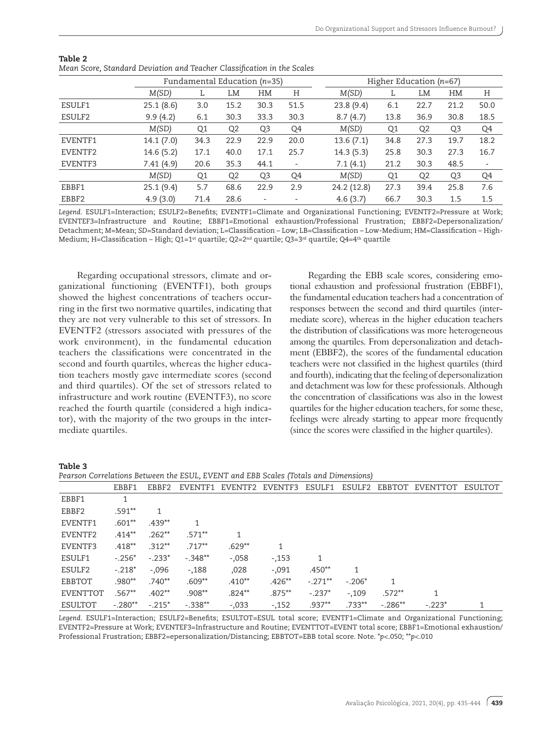|         | Fundamental Education $(n=35)$ |                |                |                          |      | Higher Education $(n=67)$ |                |                |                |                          |  |
|---------|--------------------------------|----------------|----------------|--------------------------|------|---------------------------|----------------|----------------|----------------|--------------------------|--|
|         | M(SD)                          | L              | LM             | HM                       | Η    | M(SD)                     | L.             | LM             | HM             | Η                        |  |
| ESULF1  | 25.1(8.6)                      | 3.0            | 15.2           | 30.3                     | 51.5 | 23.8(9.4)                 | 6.1            | 22.7           | 21.2           | 50.0                     |  |
| ESULF2  | 9.9(4.2)                       | 6.1            | 30.3           | 33.3                     | 30.3 | 8.7(4.7)                  | 13.8           | 36.9           | 30.8           | 18.5                     |  |
|         | M(SD)                          | Q <sub>1</sub> | Q <sub>2</sub> | Q <sub>3</sub>           | Q4   | M(SD)                     | Q <sub>1</sub> | Q <sub>2</sub> | Q <sub>3</sub> | Q4                       |  |
| EVENTF1 | 14.1(7.0)                      | 34.3           | 22.9           | 22.9                     | 20.0 | 13.6(7.1)                 | 34.8           | 27.3           | 19.7           | 18.2                     |  |
| EVENTF2 | 14.6 (5.2)                     | 17.1           | 40.0           | 17.1                     | 25.7 | 14.3(5.3)                 | 25.8           | 30.3           | 27.3           | 16.7                     |  |
| EVENTF3 | 7.41(4.9)                      | 20.6           | 35.3           | 44.1                     | -    | 7.1(4.1)                  | 21.2           | 30.3           | 48.5           | $\overline{\phantom{a}}$ |  |
|         | M(SD)                          | Q <sub>1</sub> | Q <sub>2</sub> | Q <sub>3</sub>           | Q4   | M(SD)                     | Q <sub>1</sub> | Q <sub>2</sub> | Q <sub>3</sub> | Q4                       |  |
| EBBF1   | 25.1(9.4)                      | 5.7            | 68.6           | 22.9                     | 2.9  | 24.2 (12.8)               | 27.3           | 39.4           | 25.8           | 7.6                      |  |
| EBBF2   | 4.9(3.0)                       | 71.4           | 28.6           | $\overline{\phantom{a}}$ | ٠    | 4.6(3.7)                  | 66.7           | 30.3           | 1.5            | 1.5                      |  |

| Table 2                                                                 |  |  |  |  |
|-------------------------------------------------------------------------|--|--|--|--|
| Mean Score, Standard Deviation and Teacher Classification in the Scales |  |  |  |  |

*Legend.* ESULF1=Interaction; ESULF2=Benefits; EVENTF1=Climate and Organizational Functioning; EVENTF2=Pressure at Work; EVENTEF3=Infrastructure and Routine; EBBF1=Emotional exhaustion/Professional Frustration; EBBF2=Depersonalization/ Detachment; *M*=Mean; *SD*=Standard deviation; L=Classification – Low; LB=Classification – Low-Medium; HM=Classification – High-Medium; H=Classification – High; Q1=1<sup>st</sup> quartile; Q2=2<sup>nd</sup> quartile; Q3=3<sup>rd</sup> quartile; Q4=4<sup>th</sup> quartile

Regarding occupational stressors, climate and organizational functioning (EVENTF1), both groups showed the highest concentrations of teachers occurring in the first two normative quartiles, indicating that they are not very vulnerable to this set of stressors. In EVENTF2 (stressors associated with pressures of the work environment), in the fundamental education teachers the classifications were concentrated in the second and fourth quartiles, whereas the higher education teachers mostly gave intermediate scores (second and third quartiles). Of the set of stressors related to infrastructure and work routine (EVENTF3), no score reached the fourth quartile (considered a high indicator), with the majority of the two groups in the intermediate quartiles.

Regarding the EBB scale scores, considering emotional exhaustion and professional frustration (EBBF1), the fundamental education teachers had a concentration of responses between the second and third quartiles (intermediate score), whereas in the higher education teachers the distribution of classifications was more heterogeneous among the quartiles. From depersonalization and detachment (EBBF2), the scores of the fundamental education teachers were not classified in the highest quartiles (third and fourth), indicating that the feeling of depersonalization and detachment was low for these professionals. Although the concentration of classifications was also in the lowest quartiles for the higher education teachers, for some these, feelings were already starting to appear more frequently (since the scores were classified in the higher quartiles).

*Pearson Correlations Between the ESUL, EVENT and EBB Scales (Totals and Dimensions)*

|                 | $\frac{1}{2}$ and $\frac{1}{2}$ and $\frac{1}{2}$ are $\frac{1}{2}$ and $\frac{1}{2}$ are $\frac{1}{2}$ and $\frac{1}{2}$ and $\frac{1}{2}$ and $\frac{1}{2}$ are $\frac{1}{2}$ and $\frac{1}{2}$ are $\frac{1}{2}$ and $\frac{1}{2}$ are $\frac{1}{2}$ and $\frac{1}{2}$ are $\frac{1}{2}$ a |          |           |           |                         |            |          |           |                  |  |  |
|-----------------|-----------------------------------------------------------------------------------------------------------------------------------------------------------------------------------------------------------------------------------------------------------------------------------------------|----------|-----------|-----------|-------------------------|------------|----------|-----------|------------------|--|--|
|                 | EBBF1                                                                                                                                                                                                                                                                                         | EBBF2    |           |           | EVENTF1 EVENTF2 EVENTF3 | ESULF1     | ESULF2   | EBBTOT    | EVENTTOT ESULTOT |  |  |
| EBBF1           |                                                                                                                                                                                                                                                                                               |          |           |           |                         |            |          |           |                  |  |  |
| EBBF2           | $.591***$                                                                                                                                                                                                                                                                                     |          |           |           |                         |            |          |           |                  |  |  |
| EVENTF1         | $.601**$                                                                                                                                                                                                                                                                                      | $.439**$ |           |           |                         |            |          |           |                  |  |  |
| EVENTF2         | $.414***$                                                                                                                                                                                                                                                                                     | $.262**$ | $.571***$ | 1         |                         |            |          |           |                  |  |  |
| EVENTF3         | $.418**$                                                                                                                                                                                                                                                                                      | $.312**$ | $.717**$  | $.629**$  |                         |            |          |           |                  |  |  |
| ESULF1          | $-.256*$                                                                                                                                                                                                                                                                                      | $-.233*$ | $-.348**$ | $-.058$   | $-153$                  |            |          |           |                  |  |  |
| ESULF2          | $-.218*$                                                                                                                                                                                                                                                                                      | $-.096$  | $-0.188$  | ,028      | $-.091$                 | $.450**$   | 1        |           |                  |  |  |
| EBBTOT          | $.980**$                                                                                                                                                                                                                                                                                      | $.740**$ | $.609**$  | $.410**$  | $.426***$               | $-.271***$ | $-.206*$ | 1         |                  |  |  |
| <b>EVENTTOT</b> | $.567**$                                                                                                                                                                                                                                                                                      | $.402**$ | $.908**$  | $.824***$ | $.875***$               | $-.237*$   | $-0.109$ | $.572**$  |                  |  |  |
| ESULTOT         | $-.280**$                                                                                                                                                                                                                                                                                     | $-.215*$ | $-.338**$ | $-.033$   | $-152$                  | $.937***$  | $.733**$ | $-.286**$ | $-223*$          |  |  |

*Legend.* ESULF1=Interaction; ESULF2=Benefits; ESULTOT=ESUL total score; EVENTF1=Climate and Organizational Functioning; EVENTF2=Pressure at Work; EVENTEF3=Infrastructure and Routine; EVENTTOT=EVENT total score; EBBF1=Emotional exhaustion/ Professional Frustration; EBBF2=epersonalization/Distancing; EBBTOT=EBB total score. Note. \**p*<.050; \*\**p*<.010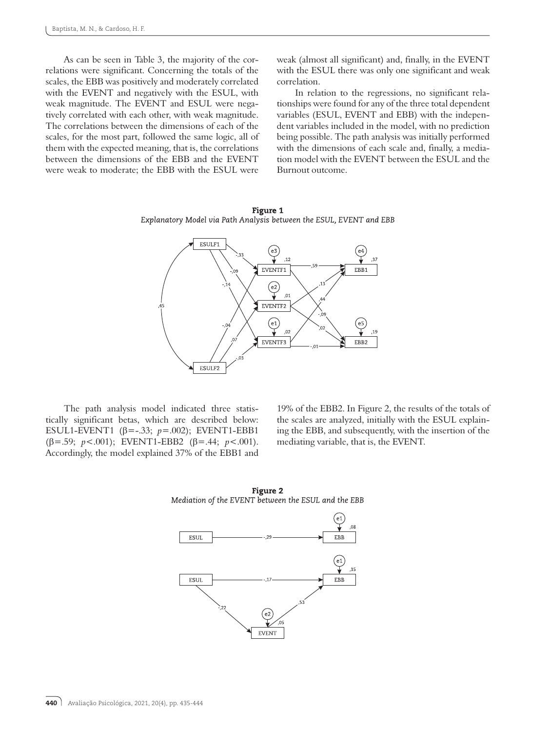As can be seen in Table 3, the majority of the correlations were significant. Concerning the totals of the scales, the EBB was positively and moderately correlated with the EVENT and negatively with the ESUL, with weak magnitude. The EVENT and ESUL were negatively correlated with each other, with weak magnitude. The correlations between the dimensions of each of the scales, for the most part, followed the same logic, all of them with the expected meaning, that is, the correlations between the dimensions of the EBB and the EVENT were weak to moderate; the EBB with the ESUL were

weak (almost all significant) and, finally, in the EVENT with the ESUL there was only one significant and weak correlation.

In relation to the regressions, no significant relationships were found for any of the three total dependent variables (ESUL, EVENT and EBB) with the independent variables included in the model, with no prediction being possible. The path analysis was initially performed with the dimensions of each scale and, finally, a mediation model with the EVENT between the ESUL and the Burnout outcome.



Figure 1 Explanatory Model via Path Analysis between the ESUL, EVENT and EBB

The path analysis model indicated three statistically significant betas, which are described below: ESUL1-EVENT1 (β=-.33; *p*=.002); EVENT1-EBB1 (β=.59; *p*<.001); EVENT1-EBB2 (β=.44; *p*<.001). Accordingly, the model explained 37% of the EBB1 and

19% of the EBB2. In Figure 2, the results of the totals of the scales are analyzed, initially with the ESUL explaining the EBB, and subsequently, with the insertion of the mediating variable, that is, the EVENT.



Figure 2 Mediation of the EVENT between the ESUL and the EBB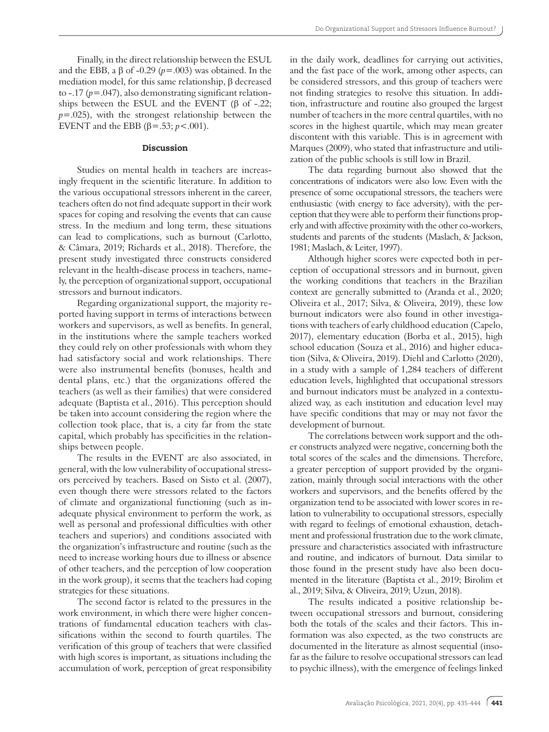Finally, in the direct relationship between the ESUL and the EBB, a β of -0.29 ( $p = .003$ ) was obtained. In the mediation model, for this same relationship, β decreased to -.17 (*p*=.047), also demonstrating significant relationships between the ESUL and the EVENT (β of  $-.22$ ; *p*=.025), with the strongest relationship between the EVENT and the EBB (β=.53; *p* <.001).

# Discussion

Studies on mental health in teachers are increasingly frequent in the scientific literature. In addition to the various occupational stressors inherent in the career, teachers often do not find adequate support in their work spaces for coping and resolving the events that can cause stress. In the medium and long term, these situations can lead to complications, such as burnout (Carlotto, & Câmara, 2019; Richards et al., 2018). Therefore, the present study investigated three constructs considered relevant in the health-disease process in teachers, namely, the perception of organizational support, occupational stressors and burnout indicators.

Regarding organizational support, the majority reported having support in terms of interactions between workers and supervisors, as well as benefits. In general, in the institutions where the sample teachers worked they could rely on other professionals with whom they had satisfactory social and work relationships. There were also instrumental benefits (bonuses, health and dental plans, etc.) that the organizations offered the teachers (as well as their families) that were considered adequate (Baptista et al., 2016). This perception should be taken into account considering the region where the collection took place, that is, a city far from the state capital, which probably has specificities in the relationships between people.

The results in the EVENT are also associated, in general, with the low vulnerability of occupational stressors perceived by teachers. Based on Sisto et al. (2007), even though there were stressors related to the factors of climate and organizational functioning (such as inadequate physical environment to perform the work, as well as personal and professional difficulties with other teachers and superiors) and conditions associated with the organization's infrastructure and routine (such as the need to increase working hours due to illness or absence of other teachers, and the perception of low cooperation in the work group), it seems that the teachers had coping strategies for these situations.

The second factor is related to the pressures in the work environment, in which there were higher concentrations of fundamental education teachers with classifications within the second to fourth quartiles. The verification of this group of teachers that were classified with high scores is important, as situations including the accumulation of work, perception of great responsibility

in the daily work, deadlines for carrying out activities, and the fast pace of the work, among other aspects, can be considered stressors, and this group of teachers were not finding strategies to resolve this situation. In addition, infrastructure and routine also grouped the largest number of teachers in the more central quartiles, with no scores in the highest quartile, which may mean greater discontent with this variable. This is in agreement with Marques (2009), who stated that infrastructure and utilization of the public schools is still low in Brazil.

The data regarding burnout also showed that the concentrations of indicators were also low. Even with the presence of some occupational stressors, the teachers were enthusiastic (with energy to face adversity), with the perception that they were able to perform their functions properly and with affective proximity with the other co-workers, students and parents of the students (Maslach, & Jackson, 1981; Maslach, & Leiter, 1997).

Although higher scores were expected both in perception of occupational stressors and in burnout, given the working conditions that teachers in the Brazilian context are generally submitted to (Aranda et al., 2020; Oliveira et al., 2017; Silva, & Oliveira, 2019), these low burnout indicators were also found in other investigations with teachers of early childhood education (Capelo, 2017), elementary education (Borba et al., 2015), high school education (Souza et al., 2016) and higher education (Silva, & Oliveira, 2019). Diehl and Carlotto (2020), in a study with a sample of 1,284 teachers of different education levels, highlighted that occupational stressors and burnout indicators must be analyzed in a contextualized way, as each institution and education level may have specific conditions that may or may not favor the development of burnout.

The correlations between work support and the other constructs analyzed were negative, concerning both the total scores of the scales and the dimensions. Therefore, a greater perception of support provided by the organization, mainly through social interactions with the other workers and supervisors, and the benefits offered by the organization tend to be associated with lower scores in relation to vulnerability to occupational stressors, especially with regard to feelings of emotional exhaustion, detachment and professional frustration due to the work climate, pressure and characteristics associated with infrastructure and routine, and indicators of burnout. Data similar to those found in the present study have also been documented in the literature (Baptista et al., 2019; Birolim et al., 2019; Silva, & Oliveira, 2019; Uzun, 2018).

The results indicated a positive relationship between occupational stressors and burnout, considering both the totals of the scales and their factors. This information was also expected, as the two constructs are documented in the literature as almost sequential (insofar as the failure to resolve occupational stressors can lead to psychic illness), with the emergence of feelings linked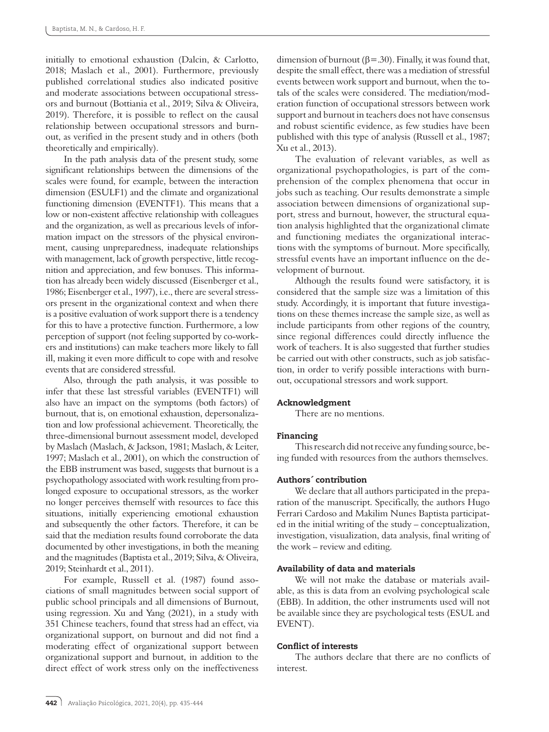initially to emotional exhaustion (Dalcin, & Carlotto, 2018; Maslach et al., 2001). Furthermore, previously published correlational studies also indicated positive and moderate associations between occupational stressors and burnout (Bottiania et al., 2019; Silva & Oliveira, 2019). Therefore, it is possible to reflect on the causal relationship between occupational stressors and burnout, as verified in the present study and in others (both theoretically and empirically).

In the path analysis data of the present study, some significant relationships between the dimensions of the scales were found, for example, between the interaction dimension (ESULF1) and the climate and organizational functioning dimension (EVENTF1). This means that a low or non-existent affective relationship with colleagues and the organization, as well as precarious levels of information impact on the stressors of the physical environment, causing unpreparedness, inadequate relationships with management, lack of growth perspective, little recognition and appreciation, and few bonuses. This information has already been widely discussed (Eisenberger et al., 1986; Eisenberger et al., 1997), i.e., there are several stressors present in the organizational context and when there is a positive evaluation of work support there is a tendency for this to have a protective function. Furthermore, a low perception of support (not feeling supported by co-workers and institutions) can make teachers more likely to fall ill, making it even more difficult to cope with and resolve events that are considered stressful.

Also, through the path analysis, it was possible to infer that these last stressful variables (EVENTF1) will also have an impact on the symptoms (both factors) of burnout, that is, on emotional exhaustion, depersonalization and low professional achievement. Theoretically, the three-dimensional burnout assessment model, developed by Maslach (Maslach, & Jackson, 1981; Maslach, & Leiter, 1997; Maslach et al., 2001), on which the construction of the EBB instrument was based, suggests that burnout is a psychopathology associated with work resulting from prolonged exposure to occupational stressors, as the worker no longer perceives themself with resources to face this situations, initially experiencing emotional exhaustion and subsequently the other factors. Therefore, it can be said that the mediation results found corroborate the data documented by other investigations, in both the meaning and the magnitudes (Baptista et al., 2019; Silva, & Oliveira, 2019; Steinhardt et al., 2011).

For example, Russell et al. (1987) found associations of small magnitudes between social support of public school principals and all dimensions of Burnout, using regression. Xu and Yang (2021), in a study with 351 Chinese teachers, found that stress had an effect, via organizational support, on burnout and did not find a moderating effect of organizational support between organizational support and burnout, in addition to the direct effect of work stress only on the ineffectiveness dimension of burnout ( $\beta$ =.30). Finally, it was found that, despite the small effect, there was a mediation of stressful events between work support and burnout, when the totals of the scales were considered. The mediation/moderation function of occupational stressors between work support and burnout in teachers does not have consensus and robust scientific evidence, as few studies have been published with this type of analysis (Russell et al., 1987; Xu et al., 2013).

The evaluation of relevant variables, as well as organizational psychopathologies, is part of the comprehension of the complex phenomena that occur in jobs such as teaching. Our results demonstrate a simple association between dimensions of organizational support, stress and burnout, however, the structural equation analysis highlighted that the organizational climate and functioning mediates the organizational interactions with the symptoms of burnout. More specifically, stressful events have an important influence on the development of burnout.

Although the results found were satisfactory, it is considered that the sample size was a limitation of this study. Accordingly, it is important that future investigations on these themes increase the sample size, as well as include participants from other regions of the country, since regional differences could directly influence the work of teachers. It is also suggested that further studies be carried out with other constructs, such as job satisfaction, in order to verify possible interactions with burnout, occupational stressors and work support.

# Acknowledgment

There are no mentions.

### Financing

This research did not receive any funding source, being funded with resources from the authors themselves.

## Authors´ contribution

We declare that all authors participated in the preparation of the manuscript. Specifically, the authors Hugo Ferrari Cardoso and Makilim Nunes Baptista participated in the initial writing of the study – conceptualization, investigation, visualization, data analysis, final writing of the work – review and editing.

# Availability of data and materials

We will not make the database or materials available, as this is data from an evolving psychological scale (EBB). In addition, the other instruments used will not be available since they are psychological tests (ESUL and EVENT).

## Conflict of interests

The authors declare that there are no conflicts of interest.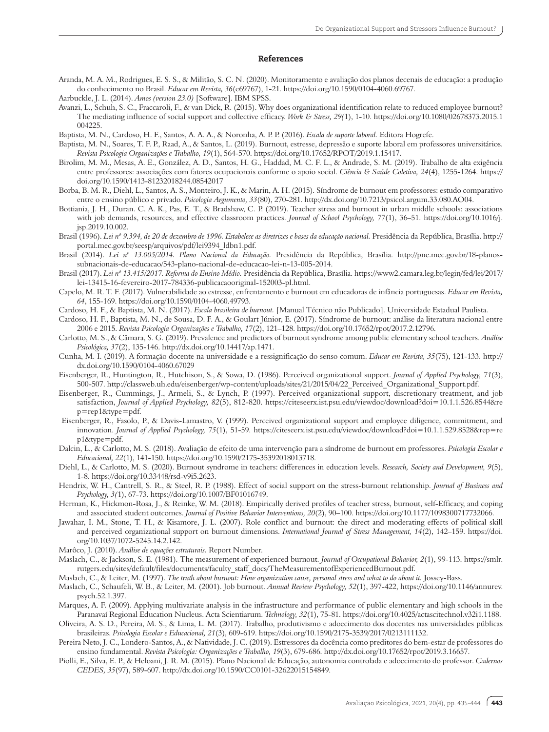#### References

- Aranda, M. A. M., Rodrigues, E. S. S., & Militão, S. C. N. (2020). Monitoramento e avaliação dos planos decenais de educação: a produção do conhecimento no Brasil. *Educar em Revista, 36*(e69767), 1-21. https://doi.org/10.1590/0104-4060.69767.
- Aarbuckle, J. L. (2014). *Amos (version 23.0)* [Software]. IBM SPSS.
- Avanzi, L., Schuh, S. C., Fraccaroli, F., & van Dick, R. (2015). Why does organizational identification relate to reduced employee burnout? The mediating influence of social support and collective efficacy. *Work & Stress, 29(*1), 1-10. https://doi.org/10.1080/02678373.2015.1 004225.
- Baptista, M. N., Cardoso, H. F., Santos, A. A. A., & Noronha, A. P. P. (2016). *Escala de suporte laboral.* Editora Hogrefe.
- Baptista, M. N., Soares, T. F. P., Raad, A., & Santos, L. (2019). Burnout, estresse, depressão e suporte laboral em professores universitários. *Revista Psicologia Organizações e Trabalho, 19*(1), 564-570. https://doi.org/10.17652/RPOT/2019.1.15417.
- Birolim, M. M., Mesas, A. E., González, A. D., Santos, H. G., Haddad, M. C. F. L., & Andrade, S. M. (2019). Trabalho de alta exigência entre professores: associações com fatores ocupacionais conforme o apoio social. *Ciência & Saúde Coletiva, 24*(4), 1255-1264. https:// doi.org/10.1590/1413-81232018244.08542017
- Borba, B. M. R., Diehl, L., Santos, A. S., Monteiro, J. K., & Marin, A. H. (2015). Síndrome de burnout em professores: estudo comparativo entre o ensino público e privado. *Psicologia Argumento, 33*(80), 270-281. http://dx.doi.org/10.7213/psicol.argum.33.080.AO04.
- Bottiania, J. H., Duran. C. A. K., Pas, E. T., & Bradshaw, C. P. (2019). Teacher stress and burnout in urban middle schools: associations with job demands, resources, and effective classroom practices. *Journal of School Psychology, 77*(1), 36–51. https://doi.org/10.1016/j. jsp.2019.10.002.
- Brasil (1996). Lei nº 9.394, de 20 de dezembro de 1996. Estabelece as diretrizes e bases da educação nacional. Presidência da República, Brasília. http:// portal.mec.gov.br/seesp/arquivos/pdf/lei9394\_ldbn1.pdf.
- Brasil (2014). *Lei nº 13.005/2014. Plano Nacional da Educação.* Presidência da República, Brasília. http://pne.mec.gov.br/18-planossubnacionais-de-educacao/543-plano-nacional-de-educacao-lei-n-13-005-2014.
- Brasil (2017). *Lei nº 13.415/2017. Reforma do Ensino Médio.* Presidência da República, Brasília. https://www2.camara.leg.br/legin/fed/lei/2017/ lei-13415-16-fevereiro-2017-784336-publicacaooriginal-152003-pl.html.
- Capelo, M. R. T. F. (2017). Vulnerabilidade ao estresse, enfrentamento e burnout em educadoras de infância portuguesas. *Educar em Revista, 64*, 155-169. https://doi.org/10.1590/0104-4060.49793.
- Cardoso, H. F., & Baptista, M. N. (2017). *Escala brasileira de burnout.* [Manual Técnico não Publicado]. Universidade Estadual Paulista.
- Cardoso, H. F., Baptista, M. N., de Sousa, D. F. A., & Goulart Júnior, E. (2017). Síndrome de burnout: análise da literatura nacional entre 2006 e 2015. *Revista Psicologia Organizações e Trabalho, 17*(2), 121–128. https://doi.org/10.17652/rpot/2017.2.12796.
- Carlotto, M. S., & Câmara, S. G. (2019). Prevalence and predictors of burnout syndrome among public elementary school teachers. *Análise Psicológica, 37*(2), 135-146. http://dx.doi.org/10.14417/ap.1471.
- Cunha, M. I. (2019). A formação docente na universidade e a ressignificação do senso comum. *Educar em Revista, 35*(75), 121-133. http:// dx.doi.org/10.1590/0104-4060.67029
- Eisenberger, R., Huntington, R., Hutchison, S., & Sowa, D. (1986). Perceived organizational support. *Journal of Applied Psychology, 71*(3), 500-507. http://classweb.uh.edu/eisenberger/wp-content/uploads/sites/21/2015/04/22\_Perceived\_Organizational\_Support.pdf.
- Eisenberger, R., Cummings, J., Armeli, S., & Lynch, P. (1997). Perceived organizational support, discretionary treatment, and job satisfaction, *Journal of Applied Psychology, 82*(5), 812-820. https://citeseerx.ist.psu.edu/viewdoc/download?doi=10.1.1.526.8544&re p=rep1&type=pdf.
- Eisenberger, R., Fasolo, P., & Davis-Lamastro, V. (1999). Perceived organizational support and employee diligence, commitment, and innovation. *Journal of Applied Psychology, 75*(1), 51-59. https://citeseerx.ist.psu.edu/viewdoc/download?doi=10.1.1.529.8528&rep=re p1&type=pdf.
- Dalcin, L., & Carlotto, M. S. (2018). Avaliação de efeito de uma intervenção para a síndrome de burnout em professores. *Psicologia Escolar e Educacional, 22*(1), 141-150. https://doi.org/10.1590/2175-35392018013718.
- Diehl, L., & Carlotto, M. S. (2020). Burnout syndrome in teachers: differences in education levels. *Research, Society and Development, 9*(5), 1-8. https://doi.org/10.33448/rsd-v9i5.2623.
- Hendrix, W. H., Cantrell, S. R., & Steel, R. P. (1988). Effect of social support on the stress-burnout relationship. *Journal of Business and Psychology, 3(*1), 67-73. https://doi.org/10.1007/BF01016749.
- Herman, K., Hickmon-Rosa, J., & Reinke, W. M. (2018). Empirically derived profiles of teacher stress, burnout, self-Efficacy, and coping and associated student outcomes. *Journal of Positive Behavior Interventions, 20*(2), 90–100. https://doi.org/10.1177/1098300717732066.
- Jawahar, I. M., Stone, T. H., & Kisamore, J. L. (2007). Role conflict and burnout: the direct and moderating effects of political skill and perceived organizational support on burnout dimensions. *International Journal of Stress Management, 14*(2), 142–159. https://doi. org/10.1037/1072-5245.14.2.142.
- Marôco, J. (2010). *Análise de equações estruturais.* Report Number.
- Maslach, C., & Jackson, S. E. (1981). The measurement of experienced burnout. *Journal of Occupational Behavior, 2*(1), 99-113. https://smlr. rutgers.edu/sites/default/files/documents/faculty\_staff\_docs/TheMeasurementofExperiencedBurnout.pdf.
- Maslach, C., & Leiter, M. (1997). *The truth about burnout: How organization cause, personal stress and what to do about it.* Jossey-Bass.
- Maslach, C., Schaufeli, W. B., & Leiter, M. (2001). Job burnout. *Annual Review Psychology, 52*(1), 397-422, https://doi.org/10.1146/annurev. psych.52.1.397.
- Marques, A. F. (2009). Applying multivariate analysis in the infrastructure and performance of public elementary and high schools in the Paranavaí Regional Education Nucleus. Acta Scientiarum. *Technology, 32*(1), 75-81. https://doi.org/10.4025/actascitechnol.v32i1.1188.
- Oliveira, A. S. D., Pereira, M. S., & Lima, L. M. (2017). Trabalho, produtivismo e adoecimento dos docentes nas universidades públicas brasileiras. *Psicologia Escolar e Educacional, 21*(3), 609-619. https://doi.org/10.1590/2175-3539/2017/0213111132.
- Pereira Neto, J. C., Londero-Santos, A., & Natividade, J. C. (2019). Estressores da docência como preditores do bem-estar de professores do ensino fundamental. *Revista Psicologia: Organizações e Trabalho, 19*(3), 679-686. http://dx.doi.org/10.17652/rpot/2019.3.16657.
- Piolli, E., Silva, E. P., & Heloani, J. R. M. (2015). Plano Nacional de Educação, autonomia controlada e adoecimento do professor. *Cadernos CEDES, 35*(97), 589-607. http://dx.doi.org/10.1590/CC0101-32622015154849.